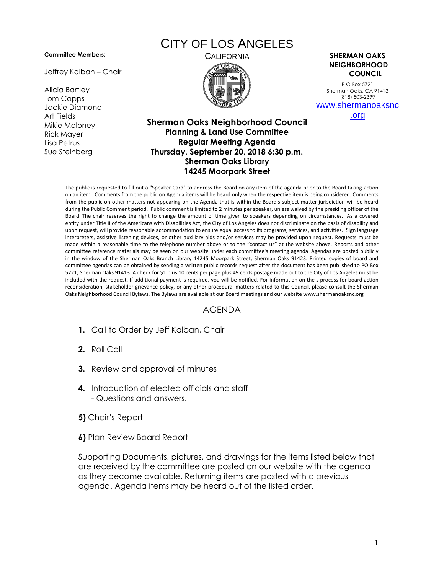## **Committee Members:**

Jeffrey Kalban – Chair

Alicia Bartley Tom Capps Jackie Diamond Art Fields Mikie Maloney Rick Mayer Lisa Petrus Sue Steinberg

## CITY OF LOS ANGELES



CALIFORNIA **SHERMAN OAKS NEIGHBORHOOD COUNCIL**

> P O Box 5721 Sherman Oaks, CA 91413 (818) 503-2399 [www.shermanoaksnc](http://www.shermanoaksnc.org/)

[.org](http://www.shermanoaksnc.org/)

## **Sherman Oaks Neighborhood Council Planning & Land Use Committee Regular Meeting Agenda Thursday, September 20, 2018 6:30 p.m. Sherman Oaks Library 14245 Moorpark Street**

The public is requested to fill out a "Speaker Card" to address the Board on any item of the agenda prior to the Board taking action on an item. Comments from the public on Agenda items will be heard only when the respective item is being considered. Comments from the public on other matters not appearing on the Agenda that is within the Board's subject matter jurisdiction will be heard during the Public Comment period. Public comment is limited to 2 minutes per speaker, unless waived by the presiding officer of the Board. The chair reserves the right to change the amount of time given to speakers depending on circumstances. As a covered entity under Title II of the Americans with Disabilities Act, the City of Los Angeles does not discriminate on the basis of disability and upon request, will provide reasonable accommodation to ensure equal access to its programs, services, and activities. Sign language interpreters, assistive listening devices, or other auxiliary aids and/or services may be provided upon request. Requests must be made within a reasonable time to the telephone number above or to the "contact us" at the website above. Reports and other committee reference materials may be seen on our website under each committee's meeting agenda. Agendas are posted publicly in the window of the Sherman Oaks Branch Library 14245 Moorpark Street, Sherman Oaks 91423. Printed copies of board and committee agendas can be obtained by sending a written public records request after the document has been published to PO Box 5721, Sherman Oaks 91413. A check for \$1 plus 10 cents per page plus 49 cents postage made out to the City of Los Angeles must be included with the request. If additional payment is required, you will be notified. For information on the s process for board action reconsideration, stakeholder grievance policy, or any other procedural matters related to this Council, please consult the Sherman Oaks Neighborhood Council Bylaws. The Bylaws are available at our Board meetings and our website www.shermanoaksnc.org

## AGENDA

- **1.** Call to Order by Jeff Kalban, Chair
- **2.** Roll Call
- **3.** Review and approval of minutes
- **4.** Introduction of elected officials and staff - Questions and answers.
- **5)** Chair's Report
- **6)** Plan Review Board Report

Supporting Documents, pictures, and drawings for the items listed below that are received by the committee are posted on our website with the agenda as they become available. Returning items are posted with a previous agenda. Agenda items may be heard out of the listed order.